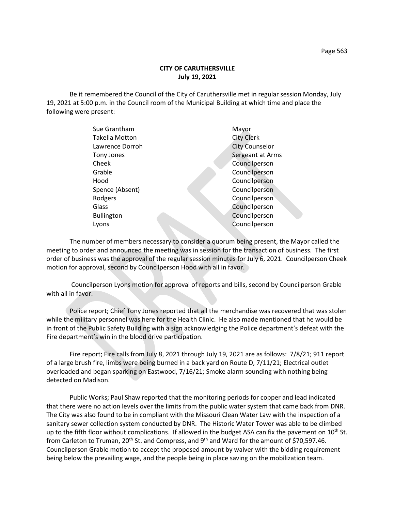Be it remembered the Council of the City of Caruthersville met in regular session Monday, July 19, 2021 at 5:00 p.m. in the Council room of the Municipal Building at which time and place the following were present:

| Sue Grantham          | Mayor                 |
|-----------------------|-----------------------|
| <b>Takella Motton</b> | <b>City Clerk</b>     |
| Lawrence Dorroh       | <b>City Counselor</b> |
| Tony Jones            | Sergeant at Arms      |
| Cheek                 | Councilperson         |
| Grable                | Councilperson         |
| Hood                  | Councilperson         |
| Spence (Absent)       | Councilperson         |
| Rodgers               | Councilperson         |
| Glass                 | Councilperson         |
| <b>Bullington</b>     | Councilperson         |
| Lyons                 | Councilperson         |
|                       |                       |

The number of members necessary to consider a quorum being present, the Mayor called the meeting to order and announced the meeting was in session for the transaction of business. The first order of business was the approval of the regular session minutes for July 6, 2021. Councilperson Cheek motion for approval, second by Councilperson Hood with all in favor.

Councilperson Lyons motion for approval of reports and bills, second by Councilperson Grable with all in favor.

Police report; Chief Tony Jones reported that all the merchandise was recovered that was stolen while the military personnel was here for the Health Clinic. He also made mentioned that he would be in front of the Public Safety Building with a sign acknowledging the Police department's defeat with the Fire department's win in the blood drive participation.

Fire report; Fire calls from July 8, 2021 through July 19, 2021 are as follows: 7/8/21; 911 report of a large brush fire, limbs were being burned in a back yard on Route D, 7/11/21; Electrical outlet overloaded and began sparking on Eastwood, 7/16/21; Smoke alarm sounding with nothing being detected on Madison.

Public Works; Paul Shaw reported that the monitoring periods for copper and lead indicated that there were no action levels over the limits from the public water system that came back from DNR. The City was also found to be in compliant with the Missouri Clean Water Law with the inspection of a sanitary sewer collection system conducted by DNR. The Historic Water Tower was able to be climbed up to the fifth floor without complications. If allowed in the budget ASA can fix the pavement on  $10^{th}$  St. from Carleton to Truman, 20<sup>th</sup> St. and Compress, and 9<sup>th</sup> and Ward for the amount of \$70,597.46. Councilperson Grable motion to accept the proposed amount by waiver with the bidding requirement being below the prevailing wage, and the people being in place saving on the mobilization team.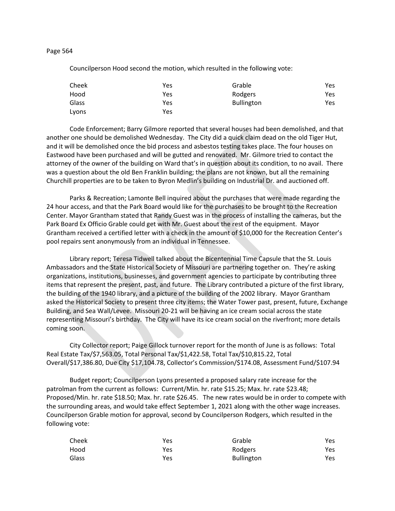## Page 564

Councilperson Hood second the motion, which resulted in the following vote:

| Cheek | Yes | Grable            | Yes. |
|-------|-----|-------------------|------|
| Hood  | Yes | Rodgers           | Yes. |
| Glass | Yes | <b>Bullington</b> | Yes  |
| Lyons | Yes |                   |      |

Code Enforcement; Barry Gilmore reported that several houses had been demolished, and that another one should be demolished Wednesday. The City did a quick claim dead on the old Tiger Hut, and it will be demolished once the bid process and asbestos testing takes place. The four houses on Eastwood have been purchased and will be gutted and renovated. Mr. Gilmore tried to contact the attorney of the owner of the building on Ward that's in question about its condition, to no avail. There was a question about the old Ben Franklin building; the plans are not known, but all the remaining Churchill properties are to be taken to Byron Medlin's building on Industrial Dr. and auctioned off.

Parks & Recreation; Lamonte Bell inquired about the purchases that were made regarding the 24 hour access, and that the Park Board would like for the purchases to be brought to the Recreation Center. Mayor Grantham stated that Randy Guest was in the process of installing the cameras, but the Park Board Ex Officio Grable could get with Mr. Guest about the rest of the equipment. Mayor Grantham received a certified letter with a check in the amount of \$10,000 for the Recreation Center's pool repairs sent anonymously from an individual in Tennessee.

Library report; Teresa Tidwell talked about the Bicentennial Time Capsule that the St. Louis Ambassadors and the State Historical Society of Missouri are partnering together on. They're asking organizations, institutions, businesses, and government agencies to participate by contributing three items that represent the present, past, and future. The Library contributed a picture of the first library, the building of the 1940 library, and a picture of the building of the 2002 library. Mayor Grantham asked the Historical Society to present three city items; the Water Tower past, present, future, Exchange Building, and Sea Wall/Levee. Missouri 20-21 will be having an ice cream social across the state representing Missouri's birthday. The City will have its ice cream social on the riverfront; more details coming soon.

City Collector report; Paige Gillock turnover report for the month of June is as follows: Total Real Estate Tax/\$7,563.05, Total Personal Tax/\$1,422.58, Total Tax/\$10,815.22, Total Overall/\$17,386.80, Due City \$17,104.78, Collector's Commission/\$174.08, Assessment Fund/\$107.94

Budget report; Councilperson Lyons presented a proposed salary rate increase for the patrolman from the current as follows: Current/Min. hr. rate \$15.25; Max. hr. rate \$23.48; Proposed/Min. hr. rate \$18.50; Max. hr. rate \$26.45. The new rates would be in order to compete with the surrounding areas, and would take effect September 1, 2021 along with the other wage increases. Councilperson Grable motion for approval, second by Councilperson Rodgers, which resulted in the following vote:

| Cheek | Yes | Grable            | Yes |
|-------|-----|-------------------|-----|
| Hood  | Yes | Rodgers           | Yes |
| Glass | Yes | <b>Bullington</b> | Yes |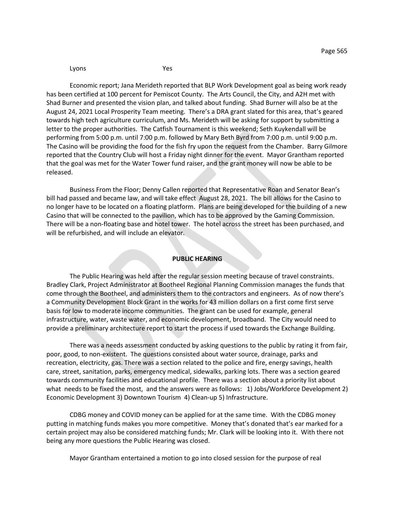## Lyons Yes

Economic report; Jana Merideth reported that BLP Work Development goal as being work ready has been certified at 100 percent for Pemiscot County. The Arts Council, the City, and A2H met with Shad Burner and presented the vision plan, and talked about funding. Shad Burner will also be at the August 24, 2021 Local Prosperity Team meeting. There's a DRA grant slated for this area, that's geared towards high tech agriculture curriculum, and Ms. Merideth will be asking for support by submitting a letter to the proper authorities. The Catfish Tournament is this weekend; Seth Kuykendall will be performing from 5:00 p.m. until 7:00 p.m. followed by Mary Beth Byrd from 7:00 p.m. until 9:00 p.m. The Casino will be providing the food for the fish fry upon the request from the Chamber. Barry Gilmore reported that the Country Club will host a Friday night dinner for the event. Mayor Grantham reported that the goal was met for the Water Tower fund raiser, and the grant money will now be able to be released.

Business From the Floor; Denny Callen reported that Representative Roan and Senator Bean's bill had passed and became law, and will take effect August 28, 2021. The bill allows for the Casino to no longer have to be located on a floating platform. Plans are being developed for the building of a new Casino that will be connected to the pavilion, which has to be approved by the Gaming Commission. There will be a non-floating base and hotel tower. The hotel across the street has been purchased, and will be refurbished, and will include an elevator.

## **PUBLIC HEARING**

The Public Hearing was held after the regular session meeting because of travel constraints. Bradley Clark, Project Administrator at Bootheel Regional Planning Commission manages the funds that come through the Bootheel, and administers them to the contractors and engineers. As of now there's a Community Development Block Grant in the works for 43 million dollars on a first come first serve basis for low to moderate income communities. The grant can be used for example, general infrastructure, water, waste water, and economic development, broadband. The City would need to provide a preliminary architecture report to start the process if used towards the Exchange Building.

There was a needs assessment conducted by asking questions to the public by rating it from fair, poor, good, to non-existent. The questions consisted about water source, drainage, parks and recreation, electricity, gas. There was a section related to the police and fire, energy savings, health care, street, sanitation, parks, emergency medical, sidewalks, parking lots. There was a section geared towards community facilities and educational profile. There was a section about a priority list about what needs to be fixed the most, and the answers were as follows: 1) Jobs/Workforce Development 2) Economic Development 3) Downtown Tourism 4) Clean-up 5) Infrastructure.

CDBG money and COVID money can be applied for at the same time. With the CDBG money putting in matching funds makes you more competitive. Money that's donated that's ear marked for a certain project may also be considered matching funds; Mr. Clark will be looking into it. With there not being any more questions the Public Hearing was closed.

Mayor Grantham entertained a motion to go into closed session for the purpose of real